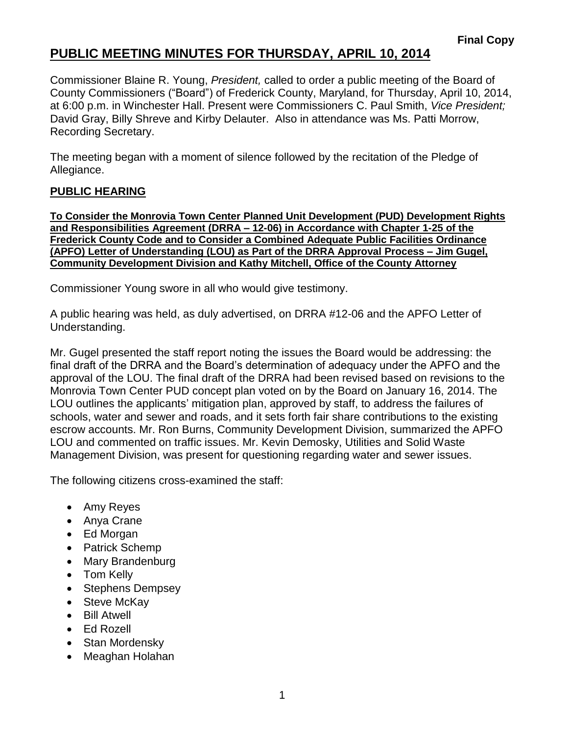## **PUBLIC MEETING MINUTES FOR THURSDAY, APRIL 10, 2014**

Commissioner Blaine R. Young, *President,* called to order a public meeting of the Board of County Commissioners ("Board") of Frederick County, Maryland, for Thursday, April 10, 2014, at 6:00 p.m. in Winchester Hall. Present were Commissioners C. Paul Smith, *Vice President;* David Gray, Billy Shreve and Kirby Delauter. Also in attendance was Ms. Patti Morrow, Recording Secretary.

The meeting began with a moment of silence followed by the recitation of the Pledge of Allegiance.

## **PUBLIC HEARING**

**To Consider the Monrovia Town Center Planned Unit Development (PUD) Development Rights and Responsibilities Agreement (DRRA – 12-06) in Accordance with Chapter 1-25 of the Frederick County Code and to Consider a Combined Adequate Public Facilities Ordinance (APFO) Letter of Understanding (LOU) as Part of the DRRA Approval Process – Jim Gugel, Community Development Division and Kathy Mitchell, Office of the County Attorney**

Commissioner Young swore in all who would give testimony.

A public hearing was held, as duly advertised, on DRRA #12-06 and the APFO Letter of Understanding.

Mr. Gugel presented the staff report noting the issues the Board would be addressing: the final draft of the DRRA and the Board's determination of adequacy under the APFO and the approval of the LOU. The final draft of the DRRA had been revised based on revisions to the Monrovia Town Center PUD concept plan voted on by the Board on January 16, 2014. The LOU outlines the applicants' mitigation plan, approved by staff, to address the failures of schools, water and sewer and roads, and it sets forth fair share contributions to the existing escrow accounts. Mr. Ron Burns, Community Development Division, summarized the APFO LOU and commented on traffic issues. Mr. Kevin Demosky, Utilities and Solid Waste Management Division, was present for questioning regarding water and sewer issues.

The following citizens cross-examined the staff:

- Amy Reyes
- Anya Crane
- Ed Morgan
- Patrick Schemp
- Mary Brandenburg
- Tom Kelly
- Stephens Dempsey
- Steve McKay
- Bill Atwell
- Ed Rozell
- Stan Mordensky
- Meaghan Holahan